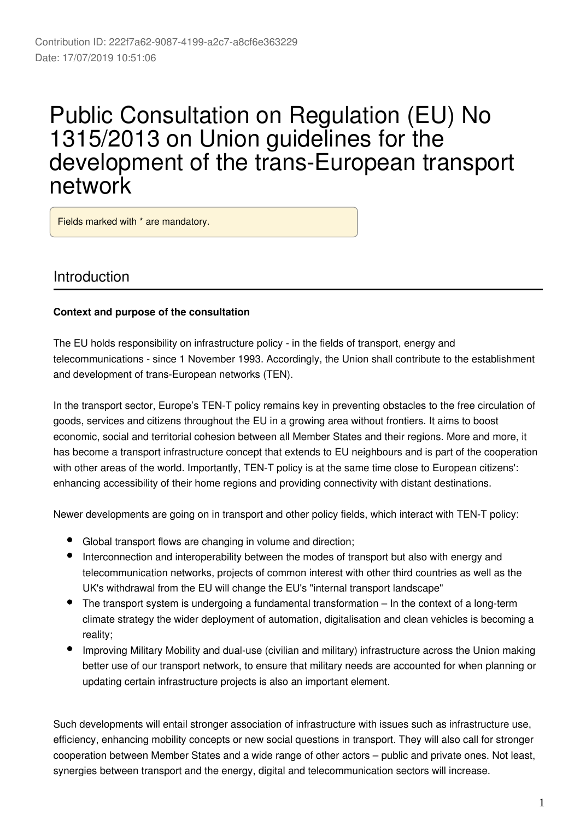# Public Consultation on Regulation (EU) No 1315/2013 on Union guidelines for the development of the trans-European transport network

Fields marked with \* are mandatory.

## Introduction

#### **Context and purpose of the consultation**

The EU holds responsibility on infrastructure policy - in the fields of transport, energy and telecommunications - since 1 November 1993. Accordingly, the Union shall contribute to the establishment and development of trans-European networks (TEN).

In the transport sector, Europe's TEN-T policy remains key in preventing obstacles to the free circulation of goods, services and citizens throughout the EU in a growing area without frontiers. It aims to boost economic, social and territorial cohesion between all Member States and their regions. More and more, it has become a transport infrastructure concept that extends to EU neighbours and is part of the cooperation with other areas of the world. Importantly, TEN-T policy is at the same time close to European citizens': enhancing accessibility of their home regions and providing connectivity with distant destinations.

Newer developments are going on in transport and other policy fields, which interact with TEN-T policy:

- Global transport flows are changing in volume and direction;
- Interconnection and interoperability between the modes of transport but also with energy and telecommunication networks, projects of common interest with other third countries as well as the UK's withdrawal from the EU will change the EU's "internal transport landscape"
- The transport system is undergoing a fundamental transformation In the context of a long-term climate strategy the wider deployment of automation, digitalisation and clean vehicles is becoming a reality;
- Improving Military Mobility and dual-use (civilian and military) infrastructure across the Union making better use of our transport network, to ensure that military needs are accounted for when planning or updating certain infrastructure projects is also an important element.

Such developments will entail stronger association of infrastructure with issues such as infrastructure use, efficiency, enhancing mobility concepts or new social questions in transport. They will also call for stronger cooperation between Member States and a wide range of other actors – public and private ones. Not least, synergies between transport and the energy, digital and telecommunication sectors will increase.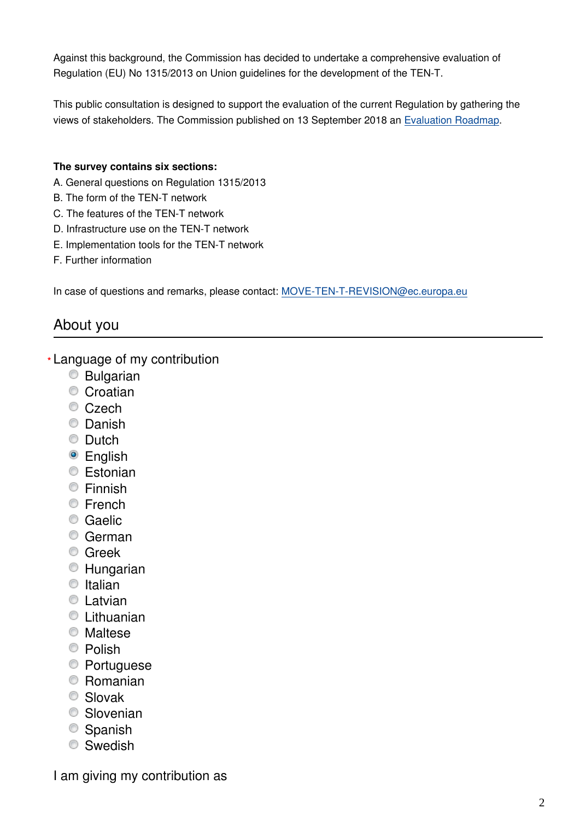Against this background, the Commission has decided to undertake a comprehensive evaluation of Regulation (EU) No 1315/2013 on Union guidelines for the development of the TEN-T.

This public consultation is designed to support the evaluation of the current Regulation by gathering the views of stakeholders. The Commission published on 13 September 2018 an [Evaluation Roadmap.](https://ec.europa.eu/info/law/better-regulation/initiatives/ares-2018-4706847_en)

#### **The survey contains six sections:**

- A. General questions on Regulation 1315/2013
- B. The form of the TEN-T network
- C. The features of the TEN-T network
- D. Infrastructure use on the TEN-T network
- E. Implementation tools for the TEN-T network
- F. Further information

In case of questions and remarks, please contact: MOVE-TEN-T-REVISION@ec.europa.eu

## About you

- Language of my contribution **\***
	- Bulgarian
	- Croatian
	- Czech
	- C Danish
	- **C** Dutch
	- <sup>O</sup> English
	- **Estonian**
	- **Einnish**
	- **E**rench
	- Caelic
	- German
	- **C** Greek
	- Hungarian
	- $\bullet$  Italian
	- **C** Latvian
	- Lithuanian
	- Maltese
	- <sup>O</sup> Polish
	- Portuguese
	- Romanian
	- Slovak
	- **Slovenian**
	- Spanish
	- Swedish

I am giving my contribution as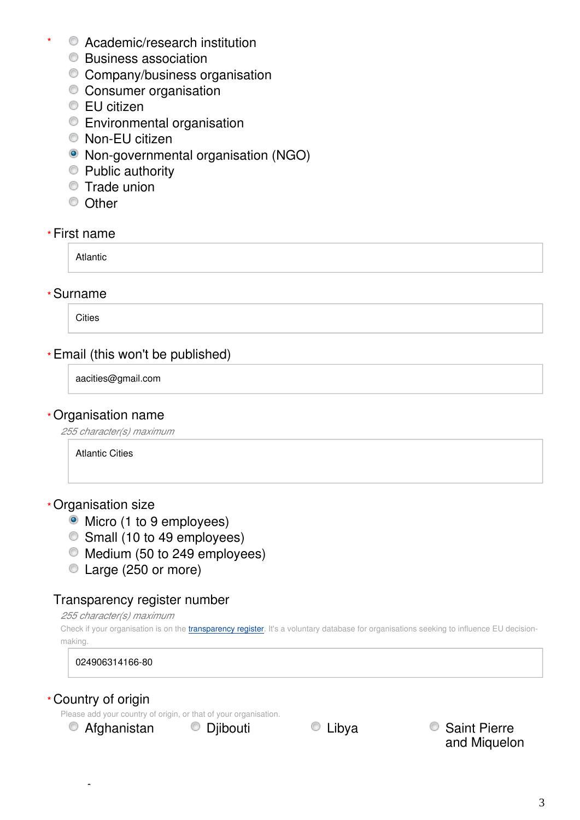- Academic/research institution **\***
	- **Business association**
	- Company/business organisation
	- Consumer organisation
	- **EU citizen**
	- **Environmental organisation**
	- Non-EU citizen
	- Non-governmental organisation (NGO)
	- **Public authority**
	- **Trade union**
	- <sup>O</sup> Other

#### First name **\***

Atlantic

#### Surname **\***

**Cities** 

## Email (this won't be published) **\***

aacities@gmail.com

#### Organisation name **\***

*255 character(s) maximum*

Atlantic Cities

#### Organisation size **\***

- Micro (1 to 9 employees)
- Small (10 to 49 employees)
- $\bullet$  Medium (50 to 249 employees)
- Large (250 or more)

#### Transparency register number

*255 character(s) maximum*

Check if your organisation is on the [transparency register](http://ec.europa.eu/transparencyregister/public/homePage.do?redir=false&locale=en). It's a voluntary database for organisations seeking to influence EU decisionmaking.

024906314166-80

#### Country of origin **\***

Please add your country of origin, or that of your organisation.

■ Afghanistan ■ Djibouti ■ ■ Dibya ■ ■ Saint Pierre and Miquelon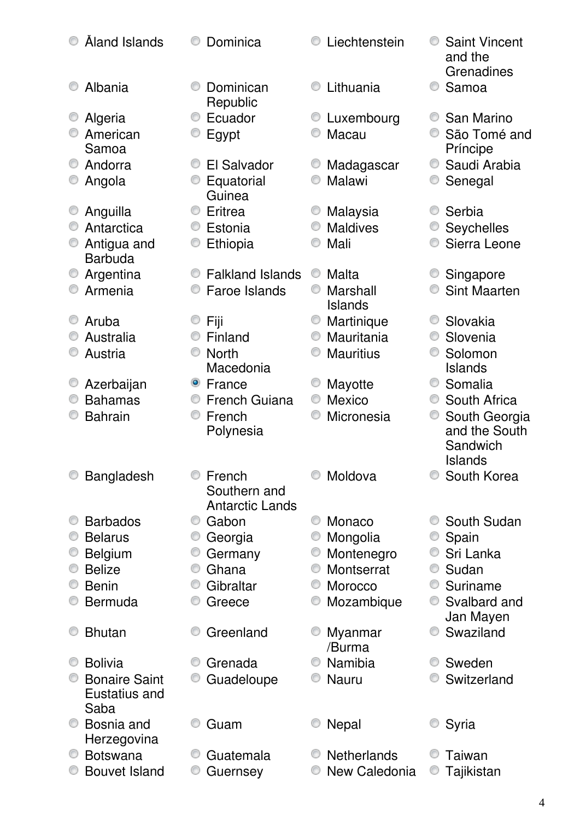|   |                      |           |                         |   |                          |   | and the<br>Grenadines                       |
|---|----------------------|-----------|-------------------------|---|--------------------------|---|---------------------------------------------|
|   | Albania              |           | Dominican<br>Republic   |   | Lithuania                | 0 | Samoa                                       |
|   | Algeria              |           | Ecuador                 |   | Luxembourg               |   | San Marino                                  |
|   | American             |           | Egypt                   |   | Macau                    |   | São Tomé and                                |
|   | Samoa                |           |                         |   |                          |   | Príncipe                                    |
|   | Andorra              |           | El Salvador             |   | Madagascar               |   | Saudi Arabia                                |
|   | Angola               |           | Equatorial<br>Guinea    |   | Malawi                   | O | Senegal                                     |
|   | Anguilla             |           | Eritrea                 |   | Malaysia                 |   | Serbia                                      |
| O | Antarctica           |           | Estonia                 | 0 | <b>Maldives</b>          |   | Seychelles                                  |
|   | Antigua and          |           | Ethiopia                |   | Mali                     |   | Sierra Leone                                |
|   | <b>Barbuda</b>       |           |                         |   |                          |   |                                             |
| O | Argentina            |           | <b>Falkland Islands</b> | O | Malta                    |   | Singapore                                   |
|   | Armenia              |           | Faroe Islands           |   | Marshall                 |   | <b>Sint Maarten</b>                         |
|   |                      |           |                         |   | <b>Islands</b>           | O | Slovakia                                    |
|   | Aruba<br>Australia   |           | Fiji<br>Finland         | 0 | Martinique<br>Mauritania | O | Slovenia                                    |
|   | Austria              |           | <b>North</b>            |   | <b>Mauritius</b>         |   | Solomon                                     |
|   |                      |           | Macedonia               |   |                          |   | <b>Islands</b>                              |
|   | Azerbaijan           | $\bullet$ | France                  |   | Mayotte                  |   | Somalia                                     |
|   | <b>Bahamas</b>       |           | <b>French Guiana</b>    | 0 | Mexico                   | O | South Africa                                |
|   | <b>Bahrain</b>       | O         | French                  |   | Micronesia               | O | South Georgia                               |
|   |                      |           | Polynesia               |   |                          |   | and the South<br>Sandwich<br><b>Islands</b> |
|   | <b>Bangladesh</b>    |           | French                  |   | Moldova                  |   | South Korea                                 |
|   |                      |           | Southern and            |   |                          |   |                                             |
|   |                      |           | <b>Antarctic Lands</b>  |   |                          |   |                                             |
|   | <b>Barbados</b>      |           | Gabon                   |   | Monaco                   |   | South Sudan                                 |
| O | <b>Belarus</b>       |           | Georgia                 |   | Mongolia                 | O | Spain                                       |
|   | <b>Belgium</b>       |           | Germany                 | O | Montenegro               | O | Sri Lanka                                   |
|   | <b>Belize</b>        | O         | Ghana                   | O | Montserrat               | O | Sudan                                       |
|   | <b>Benin</b>         | O         | Gibraltar               |   | Morocco                  | O | Suriname                                    |
|   | <b>Bermuda</b>       | 0         | Greece                  | O | Mozambique               | 0 | Svalbard and                                |
|   | <b>Bhutan</b>        |           | Greenland               |   |                          |   | Jan Mayen<br>Swaziland                      |
|   |                      |           |                         |   | Myanmar<br>/Burma        |   |                                             |
| O | <b>Bolivia</b>       |           | Grenada                 |   | Namibia                  | O | Sweden                                      |
|   | <b>Bonaire Saint</b> |           | Guadeloupe              |   | <b>Nauru</b>             |   | Switzerland                                 |
|   | Eustatius and        |           |                         |   |                          |   |                                             |
|   | Saba                 |           |                         |   |                          |   |                                             |
|   | Bosnia and           |           | Guam                    |   | Nepal                    |   | Syria                                       |
|   | Herzegovina          |           |                         |   |                          |   |                                             |
|   | <b>Botswana</b>      |           | Guatemala               |   | <b>Netherlands</b>       |   | Taiwan                                      |
|   | <b>Bouvet Island</b> | C         | Guernsey                |   | New Caledonia            |   | Tajikistan                                  |
|   |                      |           |                         |   |                          |   |                                             |

Åland Islands Dominica Liechtenstein Saint Vincent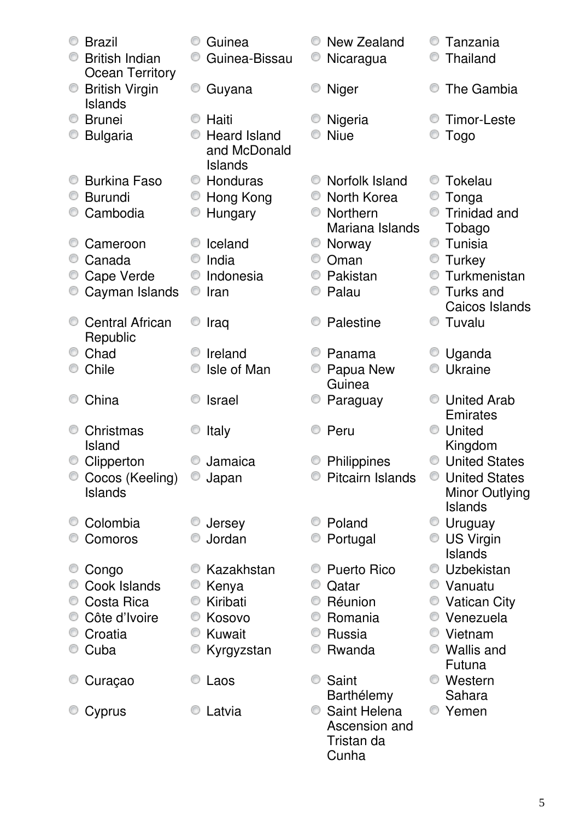| <b>Brazil</b><br><b>British Indian</b><br><b>Ocean Territory</b> | Guinea<br>Guinea-Bissau                        | New Zealand<br>Nicaragua                             | Tanzania<br>Thailand                 |
|------------------------------------------------------------------|------------------------------------------------|------------------------------------------------------|--------------------------------------|
| <b>British Virgin</b><br><b>Islands</b>                          | O<br>Guyana                                    | <b>Niger</b>                                         | The Gambia                           |
| <b>Brunei</b>                                                    | Haiti                                          | Nigeria                                              | <b>Timor-Leste</b>                   |
| <b>Bulgaria</b>                                                  | <b>Heard Island</b><br>and McDonald<br>Islands | <b>Niue</b>                                          | Togo                                 |
| <b>Burkina Faso</b>                                              | Honduras<br>O                                  | Norfolk Island                                       | Tokelau                              |
| <b>Burundi</b>                                                   | Hong Kong                                      | North Korea                                          | Tonga                                |
| Cambodia                                                         | Hungary                                        | Northern                                             | Trinidad and                         |
|                                                                  |                                                | Mariana Islands                                      | Tobago                               |
| Cameroon                                                         | Iceland                                        | Norway                                               | O<br>Tunisia                         |
| Canada                                                           | India                                          | Oman                                                 | <b>Turkey</b>                        |
| Cape Verde                                                       | Indonesia<br>O                                 | Pakistan                                             | Turkmenistan<br>O                    |
| Cayman Islands                                                   | O<br>Iran                                      | Palau                                                | Turks and                            |
|                                                                  |                                                |                                                      | Caicos Islands                       |
| <b>Central African</b>                                           | Iraq                                           | Palestine                                            | O<br>Tuvalu                          |
| Republic                                                         |                                                |                                                      |                                      |
| Chad                                                             | Ireland                                        | Panama                                               | Uganda                               |
| Chile                                                            | Isle of Man                                    | Papua New                                            | Ukraine<br>O                         |
|                                                                  |                                                | Guinea                                               |                                      |
| China                                                            | <b>Israel</b>                                  | Paraguay                                             | <b>United Arab</b>                   |
|                                                                  |                                                |                                                      | Emirates                             |
| Christmas<br>Island                                              | Italy                                          | Peru                                                 | United                               |
|                                                                  | Jamaica                                        |                                                      | Kingdom<br><b>United States</b><br>O |
| Clipperton                                                       |                                                | Philippines<br><b>Pitcairn Islands</b>               | <b>United States</b>                 |
| Cocos (Keeling)<br>Islands                                       | Japan                                          |                                                      | <b>Minor Outlying</b>                |
|                                                                  |                                                |                                                      | Islands                              |
| Colombia                                                         | Jersey                                         | Poland                                               | <b>Uruguay</b>                       |
| Comoros                                                          | Jordan                                         | Portugal                                             | US Virgin                            |
|                                                                  |                                                |                                                      | Islands                              |
| Congo                                                            | Kazakhstan                                     | <b>Puerto Rico</b>                                   | Uzbekistan                           |
| Cook Islands                                                     | Kenya                                          | Qatar                                                | ● Vanuatu                            |
| Costa Rica                                                       | Kiribati<br>O                                  | Réunion                                              | <b>Vatican City</b>                  |
| Côte d'Ivoire                                                    | Kosovo                                         | Romania                                              | ● Venezuela                          |
| Croatia                                                          | Kuwait<br>O                                    | Russia                                               | ● Vietnam                            |
| Cuba                                                             | Kyrgyzstan                                     | Rwanda                                               | ● Wallis and                         |
|                                                                  |                                                |                                                      | Futuna                               |
| Curaçao                                                          | Laos                                           | Saint                                                | Western                              |
|                                                                  |                                                | Barthélemy                                           | Sahara                               |
| Cyprus                                                           | Latvia                                         | Saint Helena<br>Ascension and<br>Tristan da<br>Cunha | Yemen                                |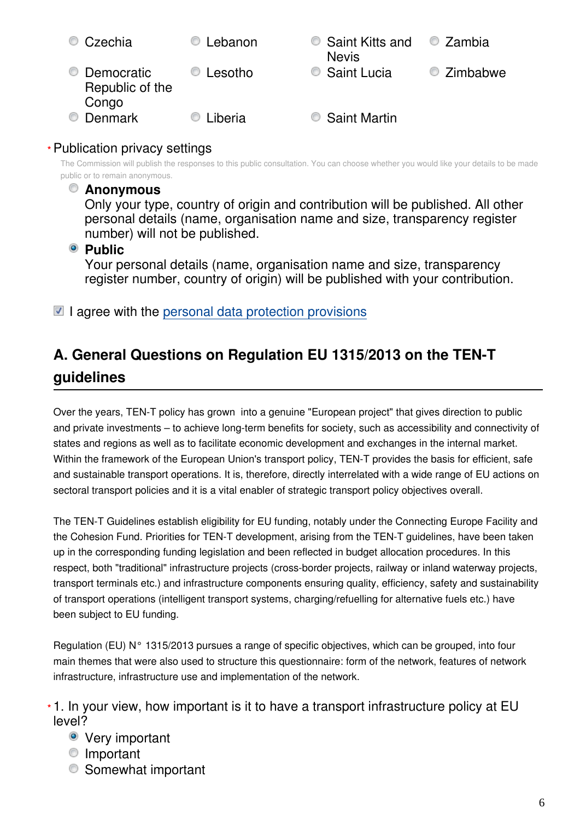| Czechia<br>O                                | Lebanon | Saint Kitts and<br><b>Nevis</b> | $\bullet$ Zambia |
|---------------------------------------------|---------|---------------------------------|------------------|
| Democratic<br>O<br>Republic of the<br>Congo | Lesotho | Saint Lucia                     | C Zimbabwe       |
| <b>Denmark</b><br>G                         | Liberia | Saint Martin                    |                  |

## Publication privacy settings **\***

The Commission will publish the responses to this public consultation. You can choose whether you would like your details to be made public or to remain anonymous.

#### **Anonymous**

Only your type, country of origin and contribution will be published. All other personal details (name, organisation name and size, transparency register number) will not be published.

**Public** 

Your personal details (name, organisation name and size, transparency register number, country of origin) will be published with your contribution.

 $\blacksquare$  I agree with the [personal data protection provisions](https://ec.europa.eu/info/law/better-regulation/specific-privacy-statement_en)

# **A. General Questions on Regulation EU 1315/2013 on the TEN-T guidelines**

Over the years, TEN-T policy has grown into a genuine "European project" that gives direction to public and private investments – to achieve long-term benefits for society, such as accessibility and connectivity of states and regions as well as to facilitate economic development and exchanges in the internal market. Within the framework of the European Union's transport policy, TEN-T provides the basis for efficient, safe and sustainable transport operations. It is, therefore, directly interrelated with a wide range of EU actions on sectoral transport policies and it is a vital enabler of strategic transport policy objectives overall.

The TEN-T Guidelines establish eligibility for EU funding, notably under the Connecting Europe Facility and the Cohesion Fund. Priorities for TEN-T development, arising from the TEN-T guidelines, have been taken up in the corresponding funding legislation and been reflected in budget allocation procedures. In this respect, both "traditional" infrastructure projects (cross-border projects, railway or inland waterway projects, transport terminals etc.) and infrastructure components ensuring quality, efficiency, safety and sustainability of transport operations (intelligent transport systems, charging/refuelling for alternative fuels etc.) have been subject to EU funding.

Regulation (EU) N° 1315/2013 pursues a range of specific objectives, which can be grouped, into four main themes that were also used to structure this questionnaire: form of the network, features of network infrastructure, infrastructure use and implementation of the network.

1. In your view, how important is it to have a transport infrastructure policy at EU **\***level?

- **•** Very important
- **Important**
- **■** Somewhat important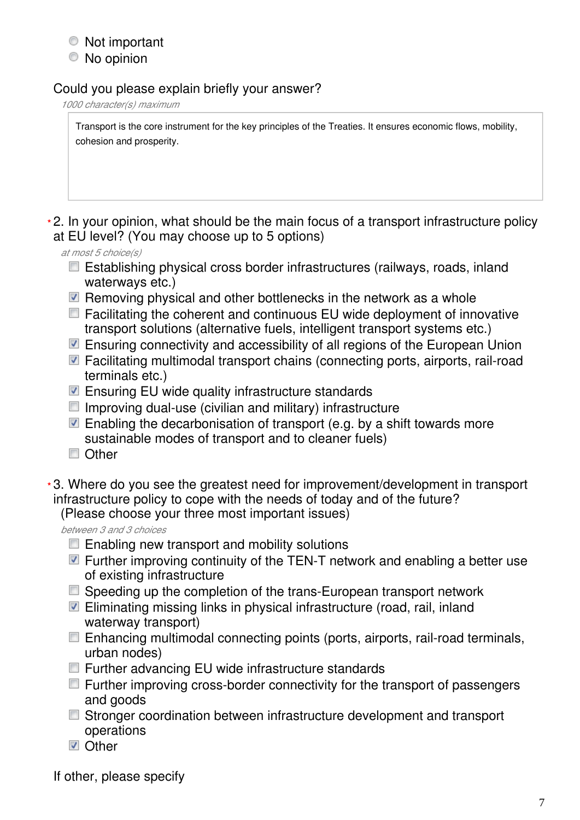## Not important

No opinion

## Could you please explain briefly your answer?

*1000 character(s) maximum*

Transport is the core instrument for the key principles of the Treaties. It ensures economic flows, mobility, cohesion and prosperity.

2. In your opinion, what should be the main focus of a transport infrastructure policy **\*** at EU level? (You may choose up to 5 options)

*at most 5 choice(s)*

- Establishing physical cross border infrastructures (railways, roads, inland waterways etc.)
- $\blacksquare$  Removing physical and other bottlenecks in the network as a whole
- $\Box$  Facilitating the coherent and continuous EU wide deployment of innovative transport solutions (alternative fuels, intelligent transport systems etc.)
- Ensuring connectivity and accessibility of all regions of the European Union
- Facilitating multimodal transport chains (connecting ports, airports, rail-road terminals etc.)
- Ensuring EU wide quality infrastructure standards
- $\Box$  Improving dual-use (civilian and military) infrastructure
- $\blacksquare$  Enabling the decarbonisation of transport (e.g. by a shift towards more sustainable modes of transport and to cleaner fuels)
- Other
- 3. Where do you see the greatest need for improvement/development in transport **\***infrastructure policy to cope with the needs of today and of the future?

(Please choose your three most important issues)

*between 3 and 3 choices*

- $\Box$  Enabling new transport and mobility solutions
- $\blacksquare$  Further improving continuity of the TEN-T network and enabling a better use of existing infrastructure
- Speeding up the completion of the trans-European transport network
- Eliminating missing links in physical infrastructure (road, rail, inland waterway transport)
- Enhancing multimodal connecting points (ports, airports, rail-road terminals, urban nodes)
- Further advancing EU wide infrastructure standards
- $\Box$  Further improving cross-border connectivity for the transport of passengers and goods
- Stronger coordination between infrastructure development and transport operations
- **D** Other

If other, please specify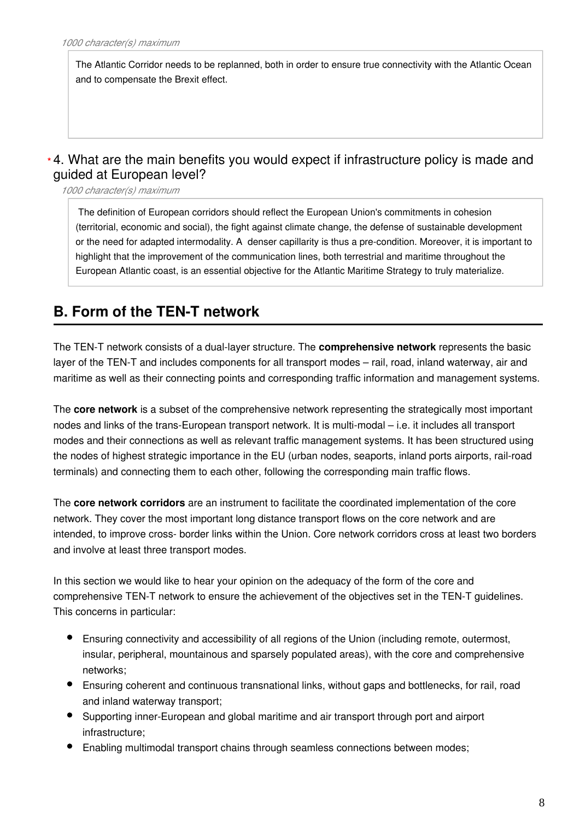The Atlantic Corridor needs to be replanned, both in order to ensure true connectivity with the Atlantic Ocean and to compensate the Brexit effect.

### 4. What are the main benefits you would expect if infrastructure policy is made and **\***guided at European level?

*1000 character(s) maximum*

 The definition of European corridors should reflect the European Union's commitments in cohesion (territorial, economic and social), the fight against climate change, the defense of sustainable development or the need for adapted intermodality. A denser capillarity is thus a pre-condition. Moreover, it is important to highlight that the improvement of the communication lines, both terrestrial and maritime throughout the European Atlantic coast, is an essential objective for the Atlantic Maritime Strategy to truly materialize.

# **B. Form of the TEN-T network**

The TEN-T network consists of a dual-layer structure. The **comprehensive network** represents the basic layer of the TEN-T and includes components for all transport modes – rail, road, inland waterway, air and maritime as well as their connecting points and corresponding traffic information and management systems.

The **core network** is a subset of the comprehensive network representing the strategically most important nodes and links of the trans-European transport network. It is multi-modal – i.e. it includes all transport modes and their connections as well as relevant traffic management systems. It has been structured using the nodes of highest strategic importance in the EU (urban nodes, seaports, inland ports airports, rail-road terminals) and connecting them to each other, following the corresponding main traffic flows.

The **core network corridors** are an instrument to facilitate the coordinated implementation of the core network. They cover the most important long distance transport flows on the core network and are intended, to improve cross- border links within the Union. Core network corridors cross at least two borders and involve at least three transport modes.

In this section we would like to hear your opinion on the adequacy of the form of the core and comprehensive TEN-T network to ensure the achievement of the objectives set in the TEN-T guidelines. This concerns in particular:

- Ensuring connectivity and accessibility of all regions of the Union (including remote, outermost, insular, peripheral, mountainous and sparsely populated areas), with the core and comprehensive networks;
- Ensuring coherent and continuous transnational links, without gaps and bottlenecks, for rail, road and inland waterway transport;
- Supporting inner-European and global maritime and air transport through port and airport infrastructure;
- Enabling multimodal transport chains through seamless connections between modes;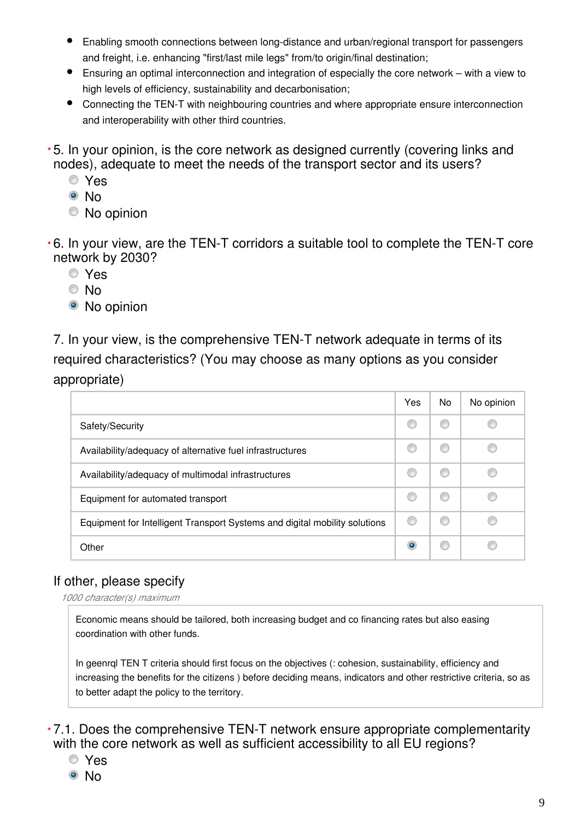- Enabling smooth connections between long-distance and urban/regional transport for passengers and freight, i.e. enhancing "first/last mile legs" from/to origin/final destination;
- Ensuring an optimal interconnection and integration of especially the core network with a view to high levels of efficiency, sustainability and decarbonisation;
- $\bullet$ Connecting the TEN-T with neighbouring countries and where appropriate ensure interconnection and interoperability with other third countries.
- 5. In your opinion, is the core network as designed currently (covering links and **\*** nodes), adequate to meet the needs of the transport sector and its users?
	- Yes
	- <sup>⊚</sup>No
	- No opinion
- 6. In your view, are the TEN-T corridors a suitable tool to complete the TEN-T core **\*** network by 2030?
	- Yes
	- © No
	- No opinion

7. In your view, is the comprehensive TEN-T network adequate in terms of its required characteristics? (You may choose as many options as you consider appropriate)

|                                                                            | Yes       | No. | No opinion |
|----------------------------------------------------------------------------|-----------|-----|------------|
| Safety/Security                                                            |           |     |            |
| Availability/adequacy of alternative fuel infrastructures                  |           |     |            |
| Availability/adequacy of multimodal infrastructures                        |           |     |            |
| Equipment for automated transport                                          |           | O   |            |
| Equipment for Intelligent Transport Systems and digital mobility solutions | Œ         |     |            |
| Other                                                                      | $\bullet$ |     |            |

## If other, please specify

*1000 character(s) maximum*

Economic means should be tailored, both increasing budget and co financing rates but also easing coordination with other funds.

In geenrql TEN T criteria should first focus on the objectives (: cohesion, sustainability, efficiency and increasing the benefits for the citizens ) before deciding means, indicators and other restrictive criteria, so as to better adapt the policy to the territory.

7.1. Does the comprehensive TEN-T network ensure appropriate complementarity **\***with the core network as well as sufficient accessibility to all EU regions?

- Yes
- <sup>◎</sup> No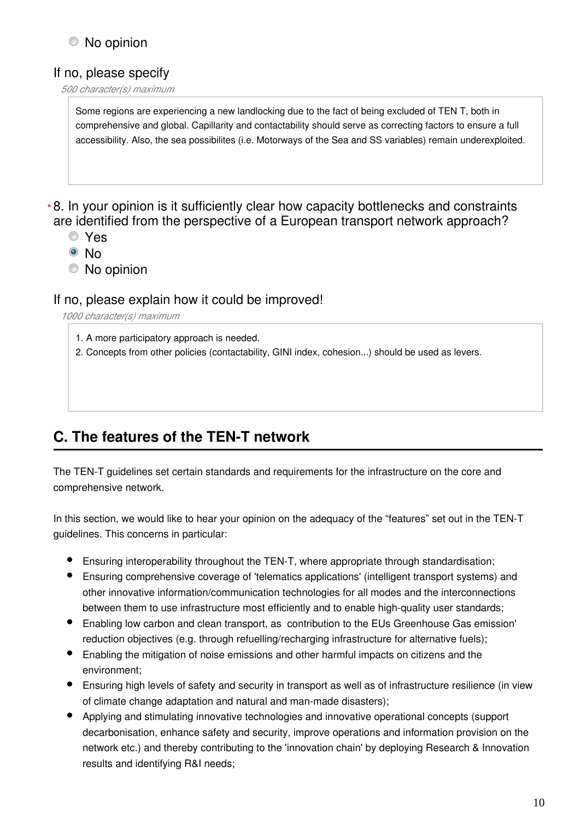## No opinion

## If no, please specify

#### *500 character(s) maximum*

Some regions are experiencing a new landlocking due to the fact of being excluded of TEN T, both in comprehensive and global. Capillarity and contactability should serve as correcting factors to ensure a full accessibility. Also, the sea possibilites (i.e. Motorways of the Sea and SS variables) remain underexploited.

### 8. In your opinion is it sufficiently clear how capacity bottlenecks and constraints **\***are identified from the perspective of a European transport network approach?

- Yes
- No
- No opinion

#### If no, please explain how it could be improved!

*1000 character(s) maximum*

- 1. A more participatory approach is needed.
- 2. Concepts from other policies (contactability, GINI index, cohesion...) should be used as levers.

# **C. The features of the TEN-T network**

The TEN-T guidelines set certain standards and requirements for the infrastructure on the core and comprehensive network.

In this section, we would like to hear your opinion on the adequacy of the "features" set out in the TEN-T guidelines. This concerns in particular:

- Ensuring interoperability throughout the TEN-T, where appropriate through standardisation;
- Ensuring comprehensive coverage of 'telematics applications' (intelligent transport systems) and other innovative information/communication technologies for all modes and the interconnections between them to use infrastructure most efficiently and to enable high-quality user standards;
- Enabling low carbon and clean transport, as contribution to the EUs Greenhouse Gas emission' reduction objectives (e.g. through refuelling/recharging infrastructure for alternative fuels);
- Enabling the mitigation of noise emissions and other harmful impacts on citizens and the environment;
- Ensuring high levels of safety and security in transport as well as of infrastructure resilience (in view of climate change adaptation and natural and man-made disasters);
- Applying and stimulating innovative technologies and innovative operational concepts (support decarbonisation, enhance safety and security, improve operations and information provision on the network etc.) and thereby contributing to the 'innovation chain' by deploying Research & Innovation results and identifying R&I needs;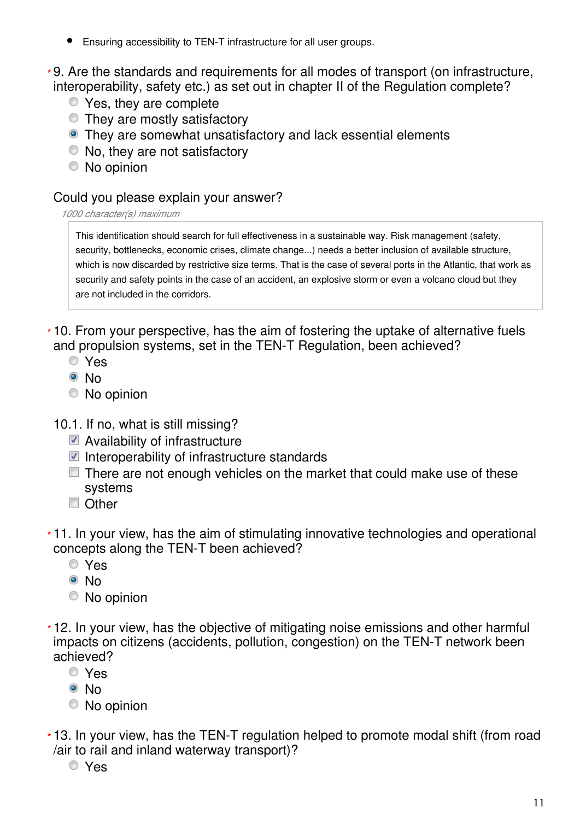Ensuring accessibility to TEN-T infrastructure for all user groups.

9. Are the standards and requirements for all modes of transport (on infrastructure, **\*** interoperability, safety etc.) as set out in chapter II of the Regulation complete?

- Yes, they are complete
- They are mostly satisfactory
- They are somewhat unsatisfactory and lack essential elements
- No, they are not satisfactory
- No opinion

### Could you please explain your answer?

#### *1000 character(s) maximum*

This identification should search for full effectiveness in a sustainable way. Risk management (safety, security, bottlenecks, economic crises, climate change...) needs a better inclusion of available structure, which is now discarded by restrictive size terms. That is the case of several ports in the Atlantic, that work as security and safety points in the case of an accident, an explosive storm or even a volcano cloud but they are not included in the corridors.

10. From your perspective, has the aim of fostering the uptake of alternative fuels **\*** and propulsion systems, set in the TEN-T Regulation, been achieved?

- Yes
- <sup>O</sup>No
- No opinion

10.1. If no, what is still missing?

- Availability of infrastructure
- $\blacksquare$  Interoperability of infrastructure standards
- $\Box$  There are not enough vehicles on the market that could make use of these systems
- Other
- 11. In your view, has the aim of stimulating innovative technologies and operational **\*** concepts along the TEN-T been achieved?
	- Yes
	- <sup>O</sup>No
	- No opinion
- 12. In your view, has the objective of mitigating noise emissions and other harmful **\*** impacts on citizens (accidents, pollution, congestion) on the TEN-T network been achieved?
	- Yes
	- <sup>◎</sup> No
	- No opinion
- 13. In your view, has the TEN-T regulation helped to promote modal shift (from road **\***/air to rail and inland waterway transport)?
	- Yes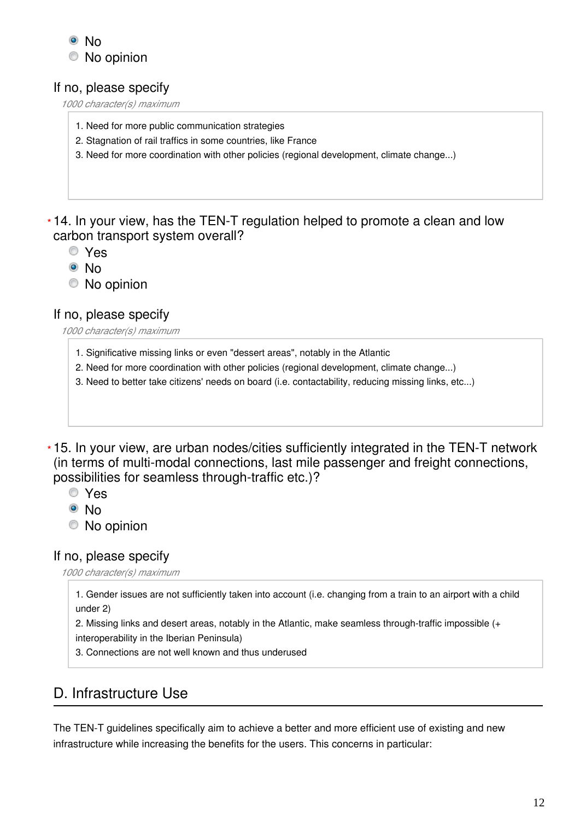

### If no, please specify

*1000 character(s) maximum*

- 1. Need for more public communication strategies
- 2. Stagnation of rail traffics in some countries, like France
- 3. Need for more coordination with other policies (regional development, climate change...)

14. In your view, has the TEN-T regulation helped to promote a clean and low **\*** carbon transport system overall?

- Yes
- <sup>⊙</sup>No
- No opinion

#### If no, please specify

*1000 character(s) maximum*

- 1. Significative missing links or even "dessert areas", notably in the Atlantic
- 2. Need for more coordination with other policies (regional development, climate change...)
- 3. Need to better take citizens' needs on board (i.e. contactability, reducing missing links, etc...)

15. In your view, are urban nodes/cities sufficiently integrated in the TEN-T network **\***(in terms of multi-modal connections, last mile passenger and freight connections, possibilities for seamless through-traffic etc.)?

- Yes
- <sup>◎</sup> No
- No opinion

#### If no, please specify

*1000 character(s) maximum*

1. Gender issues are not sufficiently taken into account (i.e. changing from a train to an airport with a child under 2)

2. Missing links and desert areas, notably in the Atlantic, make seamless through-traffic impossible (+ interoperability in the Iberian Peninsula)

3. Connections are not well known and thus underused

## D. Infrastructure Use

The TEN-T guidelines specifically aim to achieve a better and more efficient use of existing and new infrastructure while increasing the benefits for the users. This concerns in particular: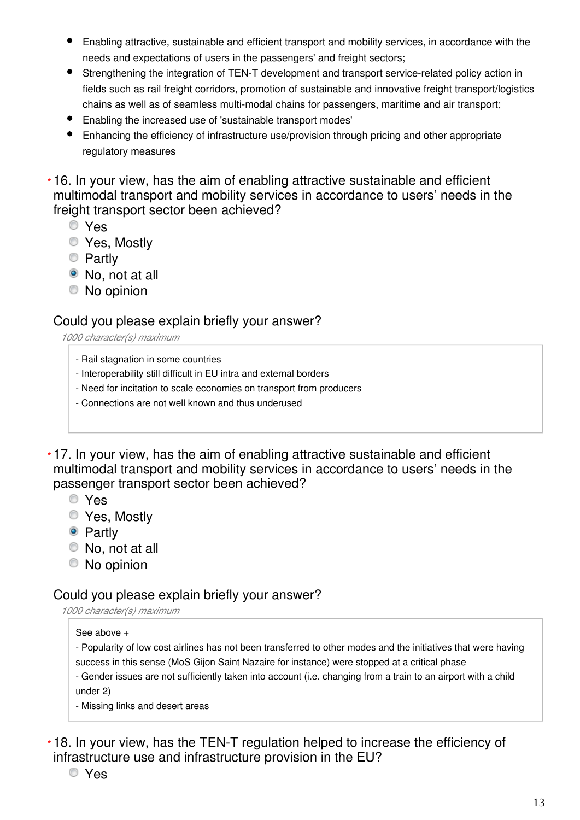- Enabling attractive, sustainable and efficient transport and mobility services, in accordance with the needs and expectations of users in the passengers' and freight sectors;
- Strengthening the integration of TEN-T development and transport service-related policy action in fields such as rail freight corridors, promotion of sustainable and innovative freight transport/logistics chains as well as of seamless multi-modal chains for passengers, maritime and air transport;
- Enabling the increased use of 'sustainable transport modes'
- Enhancing the efficiency of infrastructure use/provision through pricing and other appropriate regulatory measures

16. In your view, has the aim of enabling attractive sustainable and efficient **\*** multimodal transport and mobility services in accordance to users' needs in the freight transport sector been achieved?

- Yes
- Yes, Mostly
- **Partly**
- No, not at all
- No opinion

#### Could you please explain briefly your answer?

*1000 character(s) maximum*

- Rail stagnation in some countries
- Interoperability still difficult in EU intra and external borders
- Need for incitation to scale economies on transport from producers
- Connections are not well known and thus underused

17. In your view, has the aim of enabling attractive sustainable and efficient **\*** multimodal transport and mobility services in accordance to users' needs in the passenger transport sector been achieved?

- Yes
- Yes, Mostly
- Partly
- No, not at all
- No opinion

#### Could you please explain briefly your answer?

*1000 character(s) maximum*

#### See above +

- Popularity of low cost airlines has not been transferred to other modes and the initiatives that were having success in this sense (MoS Gijon Saint Nazaire for instance) were stopped at a critical phase

- Gender issues are not sufficiently taken into account (i.e. changing from a train to an airport with a child under 2)

- Missing links and desert areas

18. In your view, has the TEN-T regulation helped to increase the efficiency of **\***infrastructure use and infrastructure provision in the EU?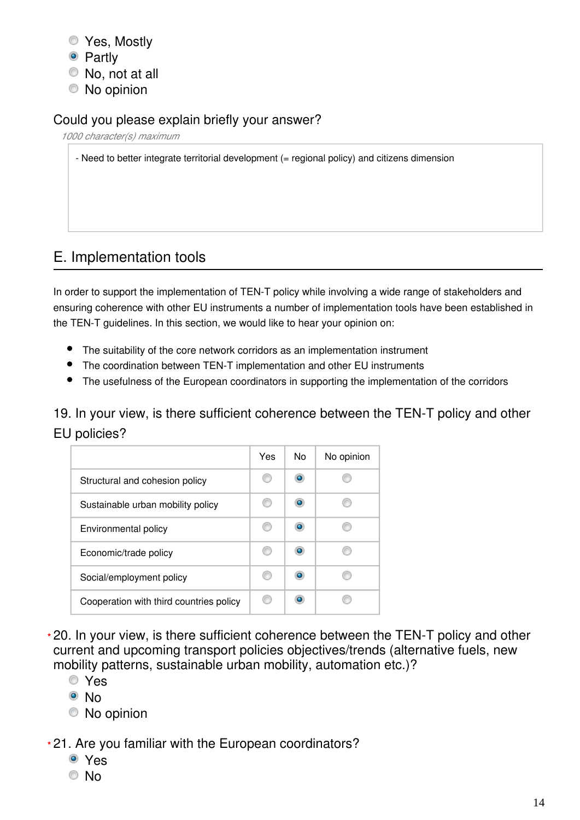- Yes, Mostly
- Partly
- No, not at all
- No opinion

## Could you please explain briefly your answer?

*1000 character(s) maximum*

- Need to better integrate territorial development (= regional policy) and citizens dimension

# E. Implementation tools

In order to support the implementation of TEN-T policy while involving a wide range of stakeholders and ensuring coherence with other EU instruments a number of implementation tools have been established in the TEN-T guidelines. In this section, we would like to hear your opinion on:

- The suitability of the core network corridors as an implementation instrument
- The coordination between TEN-T implementation and other EU instruments
- The usefulness of the European coordinators in supporting the implementation of the corridors

19. In your view, is there sufficient coherence between the TEN-T policy and other EU policies?

|                                         | Yes | No        | No opinion |
|-----------------------------------------|-----|-----------|------------|
| Structural and cohesion policy          |     |           |            |
| Sustainable urban mobility policy       |     |           |            |
| Environmental policy                    |     | $\bullet$ |            |
| Economic/trade policy                   |     |           |            |
| Social/employment policy                |     |           |            |
| Cooperation with third countries policy |     |           |            |

20. In your view, is there sufficient coherence between the TEN-T policy and other **\*** current and upcoming transport policies objectives/trends (alternative fuels, new mobility patterns, sustainable urban mobility, automation etc.)?

- Yes
- <sup>◎</sup> No
- No opinion

21. Are you familiar with the European coordinators? **\***

- Yes
- © No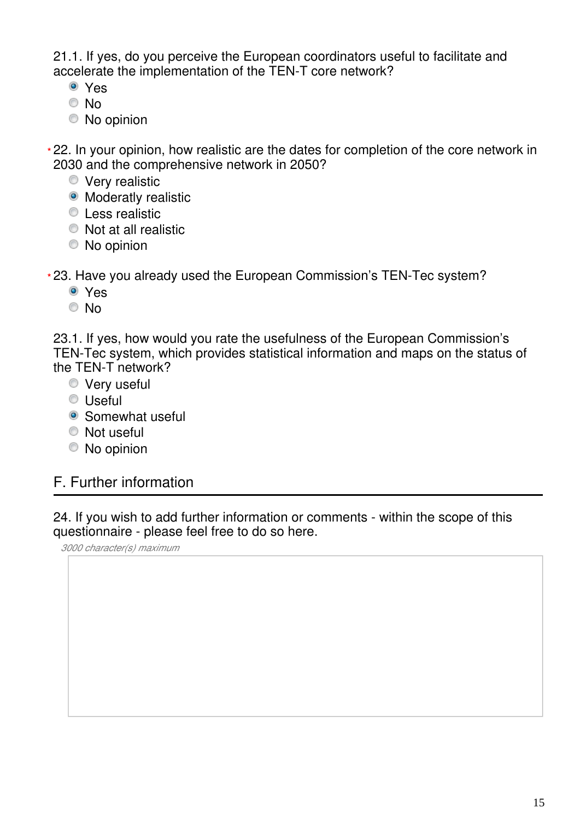21.1. If yes, do you perceive the European coordinators useful to facilitate and accelerate the implementation of the TEN-T core network?

- Yes
- © No
- No opinion

22. In your opinion, how realistic are the dates for completion of the core network in **\*** 2030 and the comprehensive network in 2050?

- **Very realistic**
- Moderatly realistic
- **Less realistic**
- $\bullet$  Not at all realistic
- No opinion

23. Have you already used the European Commission's TEN-Tec system? **\***

- Yes
- © No

23.1. If yes, how would you rate the usefulness of the European Commission's TEN-Tec system, which provides statistical information and maps on the status of the TEN-T network?

- **Very useful**
- Useful
- Somewhat useful
- <sup>O</sup> Not useful
- No opinion

## F. Further information

24. If you wish to add further information or comments - within the scope of this questionnaire - please feel free to do so here.

*3000 character(s) maximum*